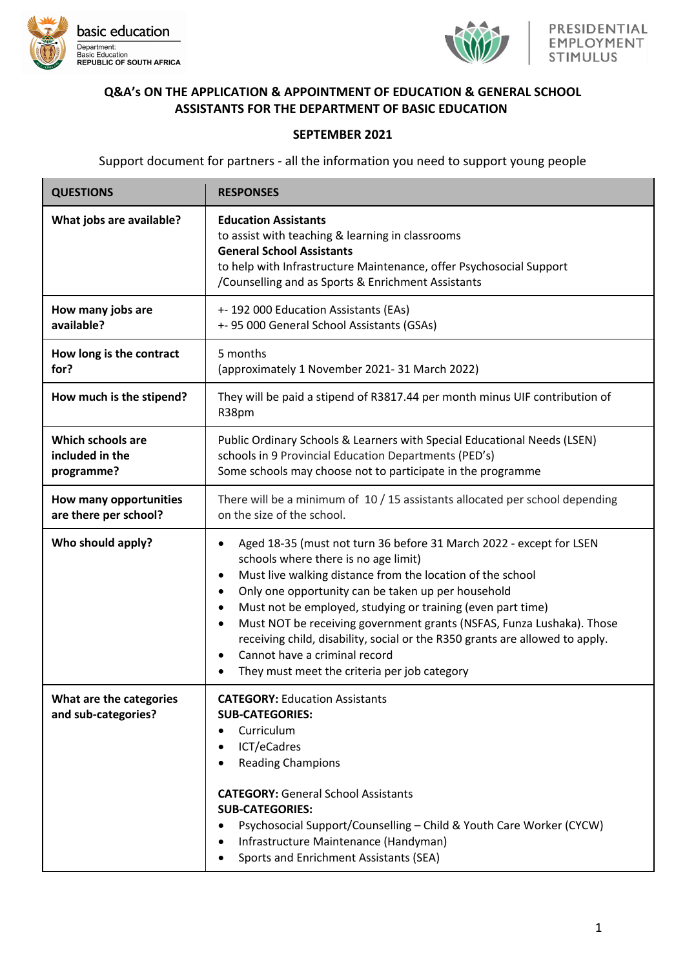



## **Q&A's ON THE APPLICATION & APPOINTMENT OF EDUCATION & GENERAL SCHOOL ASSISTANTS FOR THE DEPARTMENT OF BASIC EDUCATION**

## **SEPTEMBER 2021**

Support document for partners - all the information you need to support young people

| <b>QUESTIONS</b>                                          | <b>RESPONSES</b>                                                                                                                                                                                                                                                                                                                                                                                                                                                                                                                                      |
|-----------------------------------------------------------|-------------------------------------------------------------------------------------------------------------------------------------------------------------------------------------------------------------------------------------------------------------------------------------------------------------------------------------------------------------------------------------------------------------------------------------------------------------------------------------------------------------------------------------------------------|
| What jobs are available?                                  | <b>Education Assistants</b><br>to assist with teaching & learning in classrooms<br><b>General School Assistants</b><br>to help with Infrastructure Maintenance, offer Psychosocial Support<br>/Counselling and as Sports & Enrichment Assistants                                                                                                                                                                                                                                                                                                      |
| How many jobs are<br>available?                           | +- 192 000 Education Assistants (EAs)<br>+- 95 000 General School Assistants (GSAs)                                                                                                                                                                                                                                                                                                                                                                                                                                                                   |
| How long is the contract<br>for?                          | 5 months<br>(approximately 1 November 2021-31 March 2022)                                                                                                                                                                                                                                                                                                                                                                                                                                                                                             |
| How much is the stipend?                                  | They will be paid a stipend of R3817.44 per month minus UIF contribution of<br>R38pm                                                                                                                                                                                                                                                                                                                                                                                                                                                                  |
| <b>Which schools are</b><br>included in the<br>programme? | Public Ordinary Schools & Learners with Special Educational Needs (LSEN)<br>schools in 9 Provincial Education Departments (PED's)<br>Some schools may choose not to participate in the programme                                                                                                                                                                                                                                                                                                                                                      |
| How many opportunities<br>are there per school?           | There will be a minimum of 10 / 15 assistants allocated per school depending<br>on the size of the school.                                                                                                                                                                                                                                                                                                                                                                                                                                            |
| Who should apply?                                         | Aged 18-35 (must not turn 36 before 31 March 2022 - except for LSEN<br>schools where there is no age limit)<br>Must live walking distance from the location of the school<br>$\bullet$<br>Only one opportunity can be taken up per household<br>Must not be employed, studying or training (even part time)<br>Must NOT be receiving government grants (NSFAS, Funza Lushaka). Those<br>receiving child, disability, social or the R350 grants are allowed to apply.<br>Cannot have a criminal record<br>They must meet the criteria per job category |
| What are the categories<br>and sub-categories?            | <b>CATEGORY: Education Assistants</b><br><b>SUB-CATEGORIES:</b><br>Curriculum<br>٠<br>ICT/eCadres<br><b>Reading Champions</b><br><b>CATEGORY: General School Assistants</b><br><b>SUB-CATEGORIES:</b><br>Psychosocial Support/Counselling - Child & Youth Care Worker (CYCW)<br>Infrastructure Maintenance (Handyman)<br>Sports and Enrichment Assistants (SEA)                                                                                                                                                                                       |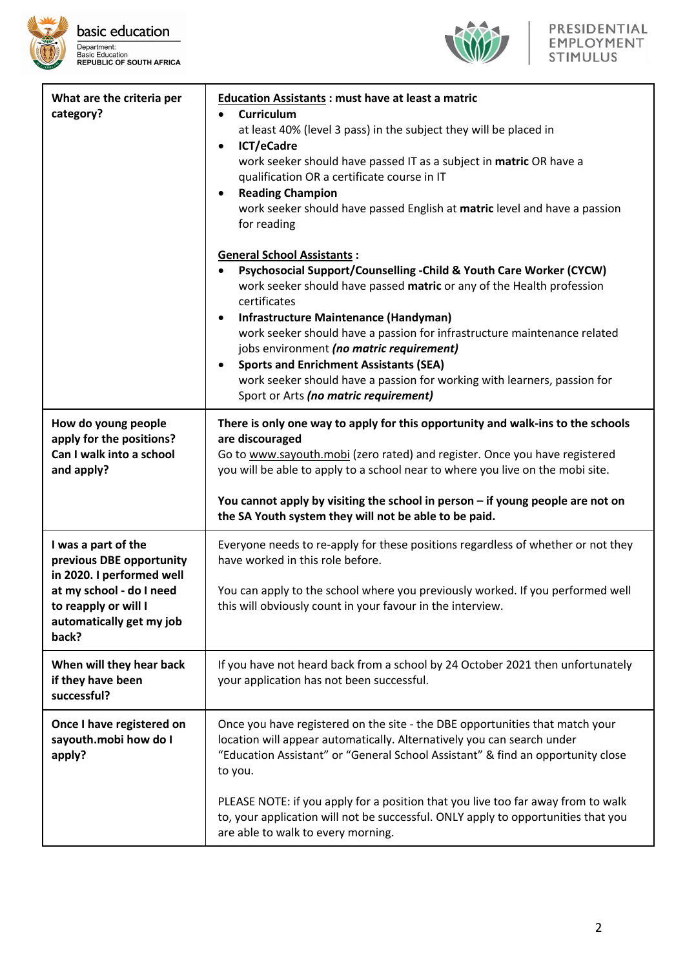



| What are the criteria per<br>category?                                                                                                                                | <b>Education Assistants: must have at least a matric</b><br>Curriculum<br>$\bullet$<br>at least 40% (level 3 pass) in the subject they will be placed in<br>ICT/eCadre<br>work seeker should have passed IT as a subject in matric OR have a<br>qualification OR a certificate course in IT<br><b>Reading Champion</b><br>work seeker should have passed English at matric level and have a passion<br>for reading                                                                                                                       |
|-----------------------------------------------------------------------------------------------------------------------------------------------------------------------|------------------------------------------------------------------------------------------------------------------------------------------------------------------------------------------------------------------------------------------------------------------------------------------------------------------------------------------------------------------------------------------------------------------------------------------------------------------------------------------------------------------------------------------|
|                                                                                                                                                                       | <b>General School Assistants:</b><br>Psychosocial Support/Counselling - Child & Youth Care Worker (CYCW)<br>work seeker should have passed matric or any of the Health profession<br>certificates<br>Infrastructure Maintenance (Handyman)<br>work seeker should have a passion for infrastructure maintenance related<br>jobs environment (no matric requirement)<br><b>Sports and Enrichment Assistants (SEA)</b><br>work seeker should have a passion for working with learners, passion for<br>Sport or Arts (no matric requirement) |
| How do young people<br>apply for the positions?<br>Can I walk into a school<br>and apply?                                                                             | There is only one way to apply for this opportunity and walk-ins to the schools<br>are discouraged<br>Go to www.sayouth.mobi (zero rated) and register. Once you have registered<br>you will be able to apply to a school near to where you live on the mobi site.<br>You cannot apply by visiting the school in person - if young people are not on<br>the SA Youth system they will not be able to be paid.                                                                                                                            |
| I was a part of the<br>previous DBE opportunity<br>in 2020. I performed well<br>at my school - do I need<br>to reapply or will I<br>automatically get my job<br>back? | Everyone needs to re-apply for these positions regardless of whether or not they<br>have worked in this role before.<br>You can apply to the school where you previously worked. If you performed well<br>this will obviously count in your favour in the interview.                                                                                                                                                                                                                                                                     |
| When will they hear back<br>if they have been<br>successful?                                                                                                          | If you have not heard back from a school by 24 October 2021 then unfortunately<br>your application has not been successful.                                                                                                                                                                                                                                                                                                                                                                                                              |
| Once I have registered on<br>sayouth.mobi how do I<br>apply?                                                                                                          | Once you have registered on the site - the DBE opportunities that match your<br>location will appear automatically. Alternatively you can search under<br>"Education Assistant" or "General School Assistant" & find an opportunity close<br>to you.<br>PLEASE NOTE: if you apply for a position that you live too far away from to walk<br>to, your application will not be successful. ONLY apply to opportunities that you<br>are able to walk to every morning.                                                                      |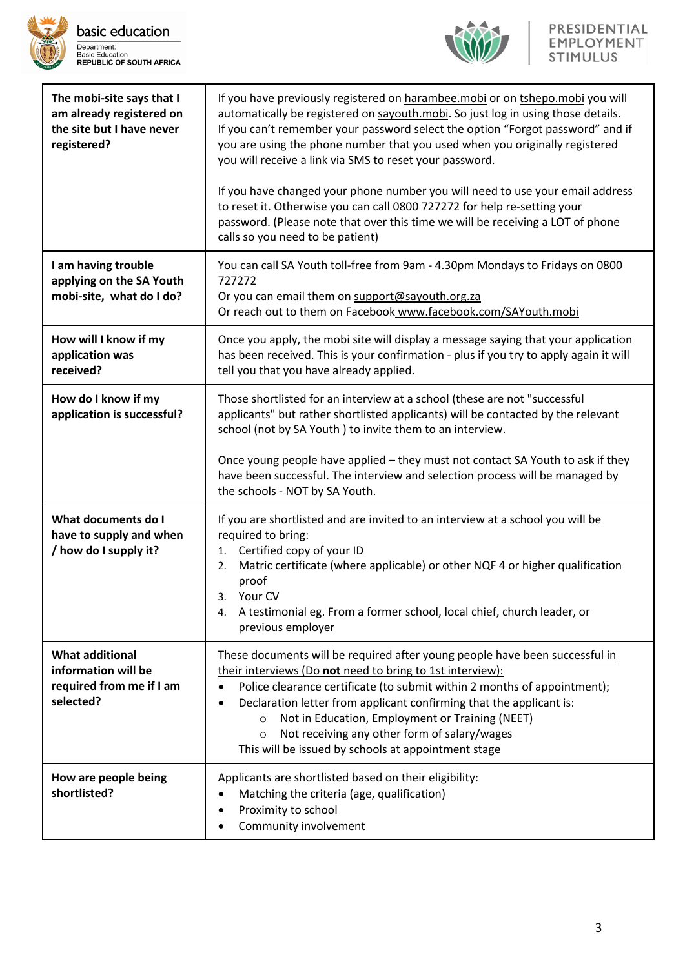



| The mobi-site says that I<br>am already registered on<br>the site but I have never<br>registered? | If you have previously registered on harambee.mobi or on tshepo.mobi you will<br>automatically be registered on sayouth.mobi. So just log in using those details.<br>If you can't remember your password select the option "Forgot password" and if<br>you are using the phone number that you used when you originally registered<br>you will receive a link via SMS to reset your password.<br>If you have changed your phone number you will need to use your email address<br>to reset it. Otherwise you can call 0800 727272 for help re-setting your<br>password. (Please note that over this time we will be receiving a LOT of phone<br>calls so you need to be patient) |
|---------------------------------------------------------------------------------------------------|----------------------------------------------------------------------------------------------------------------------------------------------------------------------------------------------------------------------------------------------------------------------------------------------------------------------------------------------------------------------------------------------------------------------------------------------------------------------------------------------------------------------------------------------------------------------------------------------------------------------------------------------------------------------------------|
| I am having trouble<br>applying on the SA Youth<br>mobi-site, what do I do?                       | You can call SA Youth toll-free from 9am - 4.30pm Mondays to Fridays on 0800<br>727272<br>Or you can email them on support@sayouth.org.za<br>Or reach out to them on Facebook www.facebook.com/SAYouth.mobi                                                                                                                                                                                                                                                                                                                                                                                                                                                                      |
| How will I know if my<br>application was<br>received?                                             | Once you apply, the mobi site will display a message saying that your application<br>has been received. This is your confirmation - plus if you try to apply again it will<br>tell you that you have already applied.                                                                                                                                                                                                                                                                                                                                                                                                                                                            |
| How do I know if my<br>application is successful?                                                 | Those shortlisted for an interview at a school (these are not "successful<br>applicants" but rather shortlisted applicants) will be contacted by the relevant<br>school (not by SA Youth) to invite them to an interview.<br>Once young people have applied - they must not contact SA Youth to ask if they<br>have been successful. The interview and selection process will be managed by<br>the schools - NOT by SA Youth.                                                                                                                                                                                                                                                    |
| What documents do I<br>have to supply and when<br>/ how do I supply it?                           | If you are shortlisted and are invited to an interview at a school you will be<br>required to bring:<br>Certified copy of your ID<br>1.<br>Matric certificate (where applicable) or other NQF 4 or higher qualification<br>2.<br>proof<br>3. Your CV<br>A testimonial eg. From a former school, local chief, church leader, or<br>4.<br>previous employer                                                                                                                                                                                                                                                                                                                        |
| <b>What additional</b><br>information will be<br>required from me if I am<br>selected?            | These documents will be required after young people have been successful in<br>their interviews (Do not need to bring to 1st interview):<br>Police clearance certificate (to submit within 2 months of appointment);<br>$\bullet$<br>Declaration letter from applicant confirming that the applicant is:<br>٠<br>Not in Education, Employment or Training (NEET)<br>$\circ$<br>Not receiving any other form of salary/wages<br>$\circ$<br>This will be issued by schools at appointment stage                                                                                                                                                                                    |
| How are people being<br>shortlisted?                                                              | Applicants are shortlisted based on their eligibility:<br>Matching the criteria (age, qualification)<br>٠<br>Proximity to school<br>Community involvement                                                                                                                                                                                                                                                                                                                                                                                                                                                                                                                        |